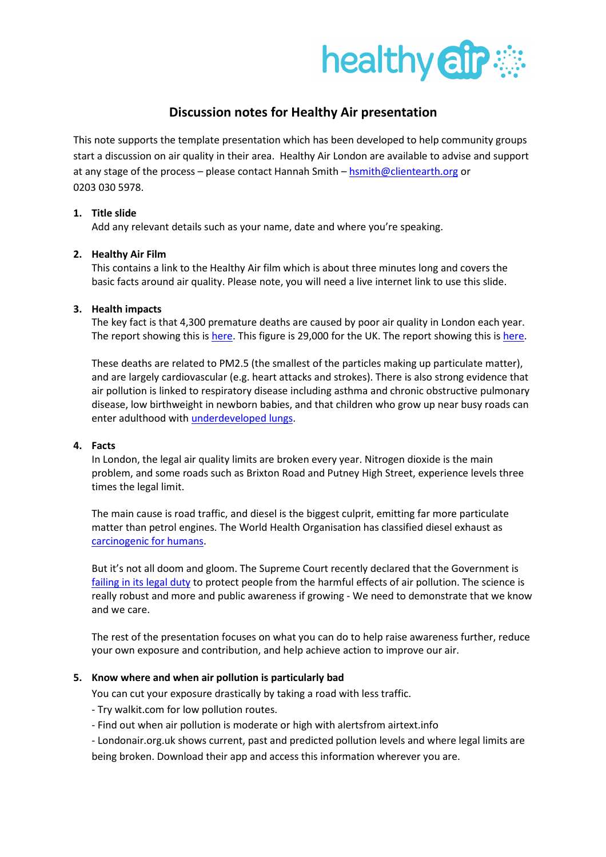

# Discussion notes for Healthy Air presentation

This note supports the template presentation which has been developed to help community groups start a discussion on air quality in their area. Healthy Air London are available to advise and support at any stage of the process – please contact Hannah Smith – hsmith@clientearth.org or 0203 030 5978.

## 1. Title slide

Add any relevant details such as your name, date and where you're speaking.

#### 2. Healthy Air Film

This contains a link to the Healthy Air film which is about three minutes long and covers the basic facts around air quality. Please note, you will need a live internet link to use this slide.

# 3. Health impacts

The key fact is that 4,300 premature deaths are caused by poor air quality in London each year. The report showing this is here. This figure is 29,000 for the UK. The report showing this is here.

These deaths are related to PM2.5 (the smallest of the particles making up particulate matter), and are largely cardiovascular (e.g. heart attacks and strokes). There is also strong evidence that air pollution is linked to respiratory disease including asthma and chronic obstructive pulmonary disease, low birthweight in newborn babies, and that children who grow up near busy roads can enter adulthood with underdeveloped lungs.

# 4. Facts

In London, the legal air quality limits are broken every year. Nitrogen dioxide is the main problem, and some roads such as Brixton Road and Putney High Street, experience levels three times the legal limit.

The main cause is road traffic, and diesel is the biggest culprit, emitting far more particulate matter than petrol engines. The World Health Organisation has classified diesel exhaust as carcinogenic for humans.

But it's not all doom and gloom. The Supreme Court recently declared that the Government is failing in its legal duty to protect people from the harmful effects of air pollution. The science is really robust and more and public awareness if growing - We need to demonstrate that we know and we care.

The rest of the presentation focuses on what you can do to help raise awareness further, reduce your own exposure and contribution, and help achieve action to improve our air.

## 5. Know where and when air pollution is particularly bad

You can cut your exposure drastically by taking a road with less traffic.

- Try walkit.com for low pollution routes.

- Find out when air pollution is moderate or high with alertsfrom airtext.info

- Londonair.org.uk shows current, past and predicted pollution levels and where legal limits are being broken. Download their app and access this information wherever you are.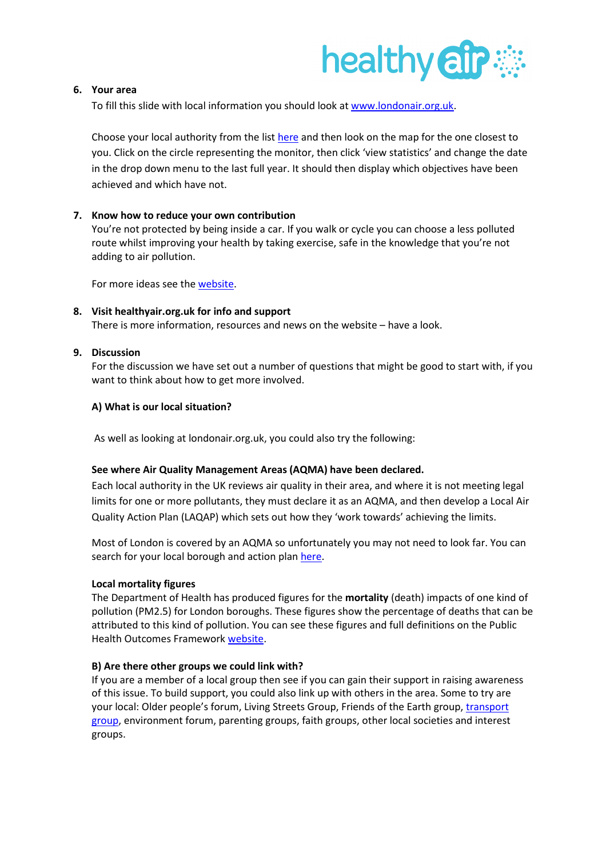

# 6. Your area

To fill this slide with local information you should look at www.londonair.org.uk.

Choose your local authority from the list here and then look on the map for the one closest to you. Click on the circle representing the monitor, then click 'view statistics' and change the date in the drop down menu to the last full year. It should then display which objectives have been achieved and which have not.

#### 7. Know how to reduce your own contribution

You're not protected by being inside a car. If you walk or cycle you can choose a less polluted route whilst improving your health by taking exercise, safe in the knowledge that you're not adding to air pollution.

For more ideas see the website.

## 8. Visit healthyair.org.uk for info and support

There is more information, resources and news on the website – have a look.

#### 9. Discussion

For the discussion we have set out a number of questions that might be good to start with, if you want to think about how to get more involved.

#### A) What is our local situation?

As well as looking at londonair.org.uk, you could also try the following:

#### See where Air Quality Management Areas (AQMA) have been declared.

Each local authority in the UK reviews air quality in their area, and where it is not meeting legal limits for one or more pollutants, they must declare it as an AQMA, and then develop a Local Air Quality Action Plan (LAQAP) which sets out how they 'work towards' achieving the limits.

Most of London is covered by an AQMA so unfortunately you may not need to look far. You can search for your local borough and action plan here.

#### Local mortality figures

The Department of Health has produced figures for the mortality (death) impacts of one kind of pollution (PM2.5) for London boroughs. These figures show the percentage of deaths that can be attributed to this kind of pollution. You can see these figures and full definitions on the Public Health Outcomes Framework website.

## B) Are there other groups we could link with?

If you are a member of a local group then see if you can gain their support in raising awareness of this issue. To build support, you could also link up with others in the area. Some to try are your local: Older people's forum, Living Streets Group, Friends of the Earth group, transport group, environment forum, parenting groups, faith groups, other local societies and interest groups.